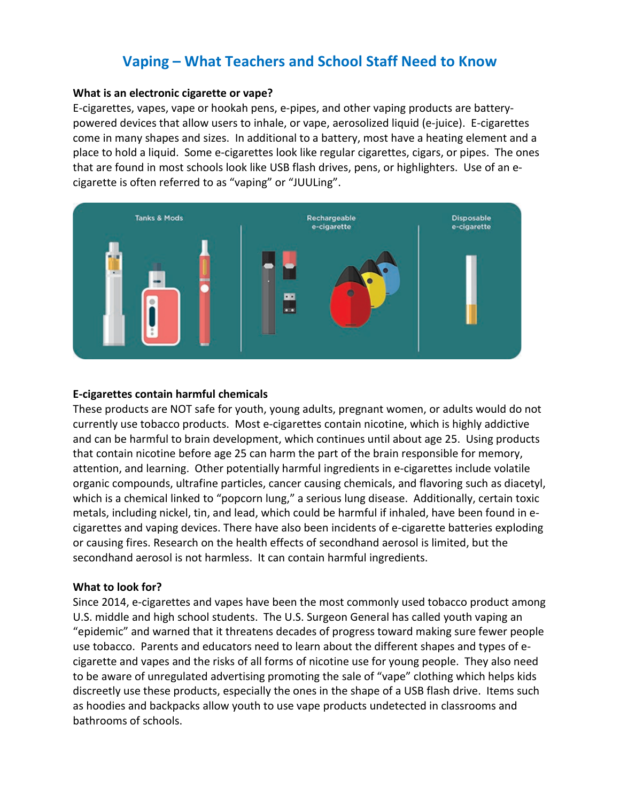# **Vaping – What Teachers and School Staff Need to Know**

#### **What is an electronic cigarette or vape?**

E-cigarettes, vapes, vape or hookah pens, e-pipes, and other vaping products are batterypowered devices that allow users to inhale, or vape, aerosolized liquid (e-juice). E-cigarettes come in many shapes and sizes. In additional to a battery, most have a heating element and a place to hold a liquid. Some e-cigarettes look like regular cigarettes, cigars, or pipes. The ones that are found in most schools look like USB flash drives, pens, or highlighters. Use of an ecigarette is often referred to as "vaping" or "JUULing".



### **E-cigarettes contain harmful chemicals**

These products are NOT safe for youth, young adults, pregnant women, or adults would do not currently use tobacco products. Most e-cigarettes contain nicotine, which is highly addictive and can be harmful to brain development, which continues until about age 25. Using products that contain nicotine before age 25 can harm the part of the brain responsible for memory, attention, and learning. Other potentially harmful ingredients in e-cigarettes include volatile organic compounds, ultrafine particles, cancer causing chemicals, and flavoring such as diacetyl, which is a chemical linked to "popcorn lung," a serious lung disease. Additionally, certain toxic metals, including nickel, tin, and lead, which could be harmful if inhaled, have been found in ecigarettes and vaping devices. There have also been incidents of e-cigarette batteries exploding or causing fires. Research on the health effects of secondhand aerosol is limited, but the secondhand aerosol is not harmless. It can contain harmful ingredients.

## **What to look for?**

Since 2014, e-cigarettes and vapes have been the most commonly used tobacco product among U.S. middle and high school students. The U.S. Surgeon General has called youth vaping an "epidemic" and warned that it threatens decades of progress toward making sure fewer people use tobacco. Parents and educators need to learn about the different shapes and types of ecigarette and vapes and the risks of all forms of nicotine use for young people. They also need to be aware of unregulated advertising promoting the sale of "vape" clothing which helps kids discreetly use these products, especially the ones in the shape of a USB flash drive. Items such as hoodies and backpacks allow youth to use vape products undetected in classrooms and bathrooms of schools.